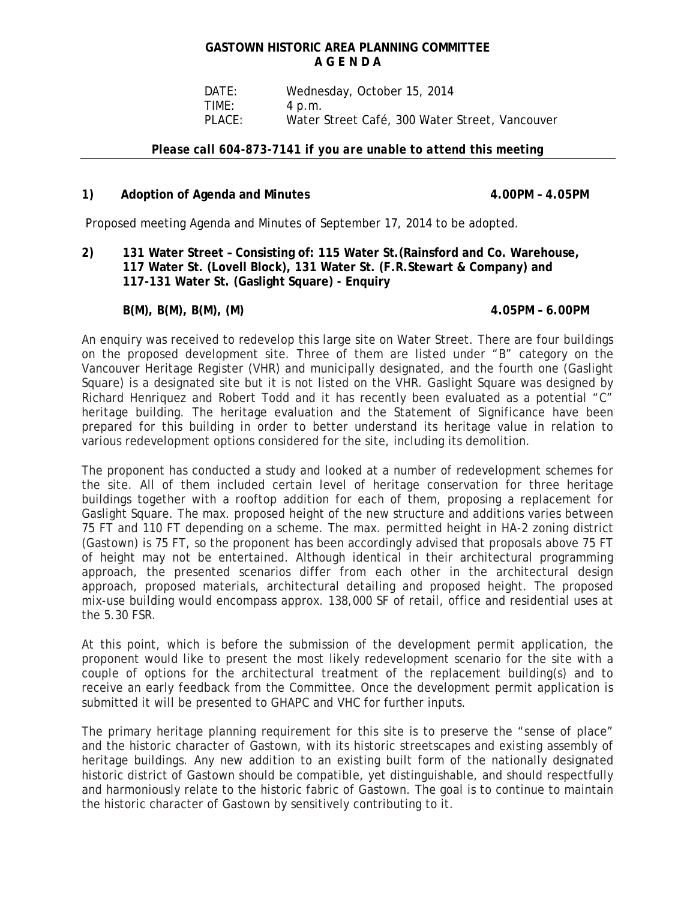# **GASTOWN HISTORIC AREA PLANNING COMMITTEE A G E N D A**

 DATE: Wednesday, October 15, 2014 TIME: 4 p.m. PLACE: Water Street Café, 300 Water Street, Vancouver

### *Please call 604-873-7141 if you are unable to attend this meeting*

## 1) Adoption of Agenda and Minutes **4.00PM – 4.05PM**

Proposed meeting Agenda and Minutes of September 17, 2014 to be adopted.

**2) 131 Water Street – Consisting of: 115 Water St.(Rainsford and Co. Warehouse, 117 Water St. (Lovell Block), 131 Water St. (F.R.Stewart & Company) and 117-131 Water St. (Gaslight Square) - Enquiry** 

# **B(M), B(M), B(M), (M) 4.05PM – 6.00PM**

An enquiry was received to redevelop this large site on Water Street. There are four buildings on the proposed development site. Three of them are listed under "B" category on the Vancouver Heritage Register (VHR) and municipally designated, and the fourth one (Gaslight Square) is a designated site but it is not listed on the VHR. Gaslight Square was designed by Richard Henriquez and Robert Todd and it has recently been evaluated as a potential "C" heritage building. The heritage evaluation and the Statement of Significance have been prepared for this building in order to better understand its heritage value in relation to various redevelopment options considered for the site, including its demolition.

The proponent has conducted a study and looked at a number of redevelopment schemes for the site. All of them included certain level of heritage conservation for three heritage buildings together with a rooftop addition for each of them, proposing a replacement for Gaslight Square. The max. proposed height of the new structure and additions varies between 75 FT and 110 FT depending on a scheme. The max. permitted height in HA-2 zoning district (Gastown) is 75 FT, so the proponent has been accordingly advised that proposals above 75 FT of height may not be entertained. Although identical in their architectural programming approach, the presented scenarios differ from each other in the architectural design approach, proposed materials, architectural detailing and proposed height. The proposed mix-use building would encompass approx. 138,000 SF of retail, office and residential uses at the 5.30 FSR.

At this point, which is before the submission of the development permit application, the proponent would like to present the most likely redevelopment scenario for the site with a couple of options for the architectural treatment of the replacement building(s) and to receive an early feedback from the Committee. Once the development permit application is submitted it will be presented to GHAPC and VHC for further inputs.

The primary heritage planning requirement for this site is to preserve the "sense of place" and the historic character of Gastown, with its historic streetscapes and existing assembly of heritage buildings. Any new addition to an existing built form of the nationally designated historic district of Gastown should be compatible, yet distinguishable, and should respectfully and harmoniously relate to the historic fabric of Gastown. The goal is to continue to maintain the historic character of Gastown by sensitively contributing to it.